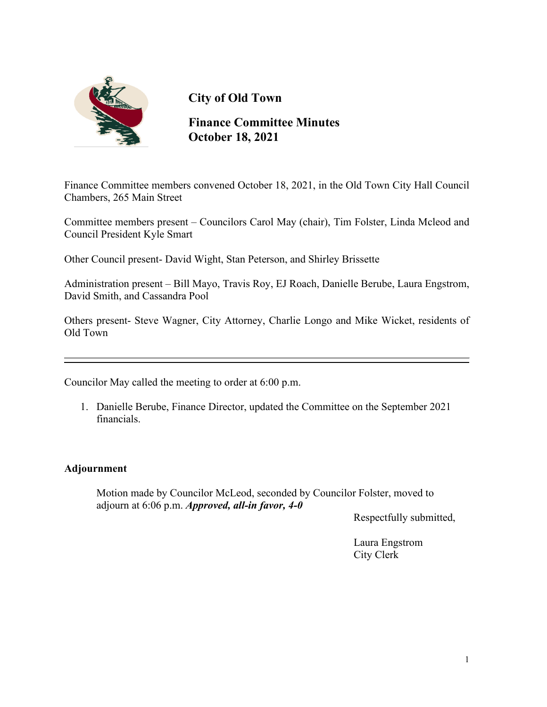

# **City of Old Town**

**Finance Committee Minutes October 18, 2021**

Finance Committee members convened October 18, 2021, in the Old Town City Hall Council Chambers, 265 Main Street

Committee members present – Councilors Carol May (chair), Tim Folster, Linda Mcleod and Council President Kyle Smart

Other Council present- David Wight, Stan Peterson, and Shirley Brissette

Administration present – Bill Mayo, Travis Roy, EJ Roach, Danielle Berube, Laura Engstrom, David Smith, and Cassandra Pool

Others present- Steve Wagner, City Attorney, Charlie Longo and Mike Wicket, residents of Old Town

Councilor May called the meeting to order at 6:00 p.m.

1. Danielle Berube, Finance Director, updated the Committee on the September 2021 financials.

### **Adjournment**

 Motion made by Councilor McLeod, seconded by Councilor Folster, moved to adjourn at 6:06 p.m. *Approved, all-in favor, 4-0*

Respectfully submitted,

Laura Engstrom City Clerk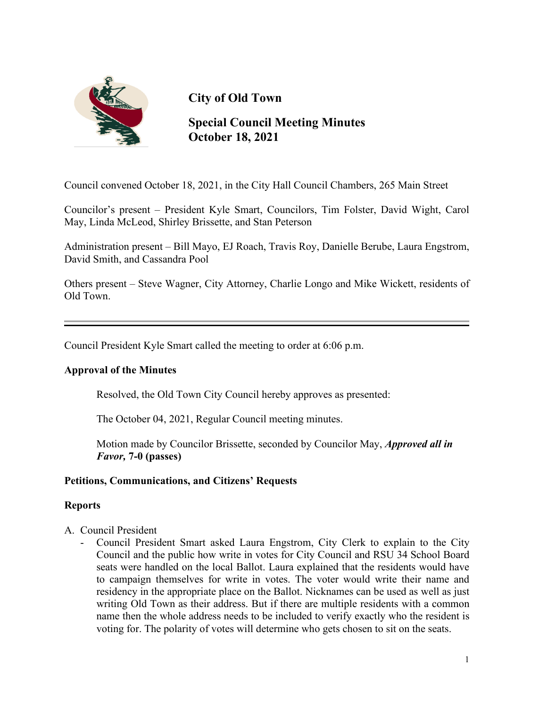

# **City of Old Town**

## **Special Council Meeting Minutes October 18, 2021**

Council convened October 18, 2021, in the City Hall Council Chambers, 265 Main Street

Councilor's present – President Kyle Smart, Councilors, Tim Folster, David Wight, Carol May, Linda McLeod, Shirley Brissette, and Stan Peterson

Administration present – Bill Mayo, EJ Roach, Travis Roy, Danielle Berube, Laura Engstrom, David Smith, and Cassandra Pool

Others present – Steve Wagner, City Attorney, Charlie Longo and Mike Wickett, residents of Old Town.

Council President Kyle Smart called the meeting to order at 6:06 p.m.

### **Approval of the Minutes**

Resolved, the Old Town City Council hereby approves as presented:

The October 04, 2021, Regular Council meeting minutes.

 Motion made by Councilor Brissette, seconded by Councilor May, *Approved all in Favor,* **7-0 (passes)**

#### **Petitions, Communications, and Citizens' Requests**

#### **Reports**

- A. Council President
	- Council President Smart asked Laura Engstrom, City Clerk to explain to the City Council and the public how write in votes for City Council and RSU 34 School Board seats were handled on the local Ballot. Laura explained that the residents would have to campaign themselves for write in votes. The voter would write their name and residency in the appropriate place on the Ballot. Nicknames can be used as well as just writing Old Town as their address. But if there are multiple residents with a common name then the whole address needs to be included to verify exactly who the resident is voting for. The polarity of votes will determine who gets chosen to sit on the seats.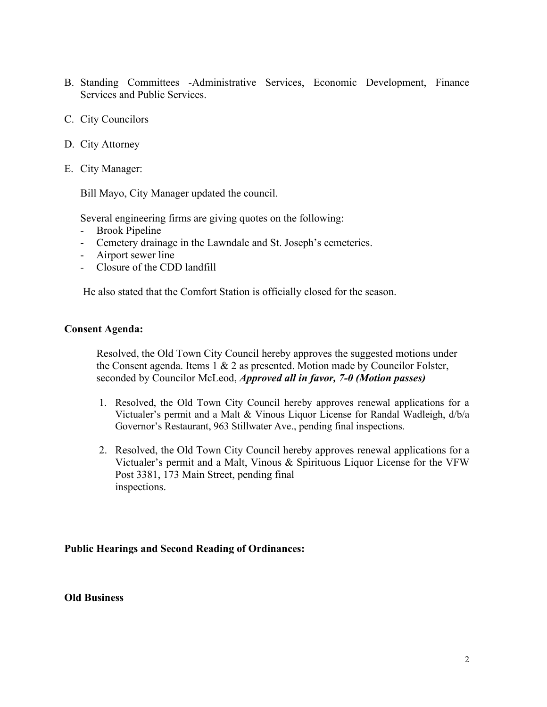- B. Standing Committees -Administrative Services, Economic Development, Finance Services and Public Services.
- C. City Councilors
- D. City Attorney
- E. City Manager:

Bill Mayo, City Manager updated the council.

Several engineering firms are giving quotes on the following:

- Brook Pipeline
- Cemetery drainage in the Lawndale and St. Joseph's cemeteries.
- Airport sewer line
- Closure of the CDD landfill

He also stated that the Comfort Station is officially closed for the season.

#### **Consent Agenda:**

Resolved, the Old Town City Council hereby approves the suggested motions under the Consent agenda. Items  $1 \& 2$  as presented. Motion made by Councilor Folster, seconded by Councilor McLeod, *Approved all in favor, 7-0 (Motion passes)* 

- 1. Resolved, the Old Town City Council hereby approves renewal applications for a Victualer's permit and a Malt & Vinous Liquor License for Randal Wadleigh, d/b/a Governor's Restaurant, 963 Stillwater Ave., pending final inspections.
- 2. Resolved, the Old Town City Council hereby approves renewal applications for a Victualer's permit and a Malt, Vinous & Spirituous Liquor License for the VFW Post 3381, 173 Main Street, pending final inspections.

#### **Public Hearings and Second Reading of Ordinances:**

**Old Business**